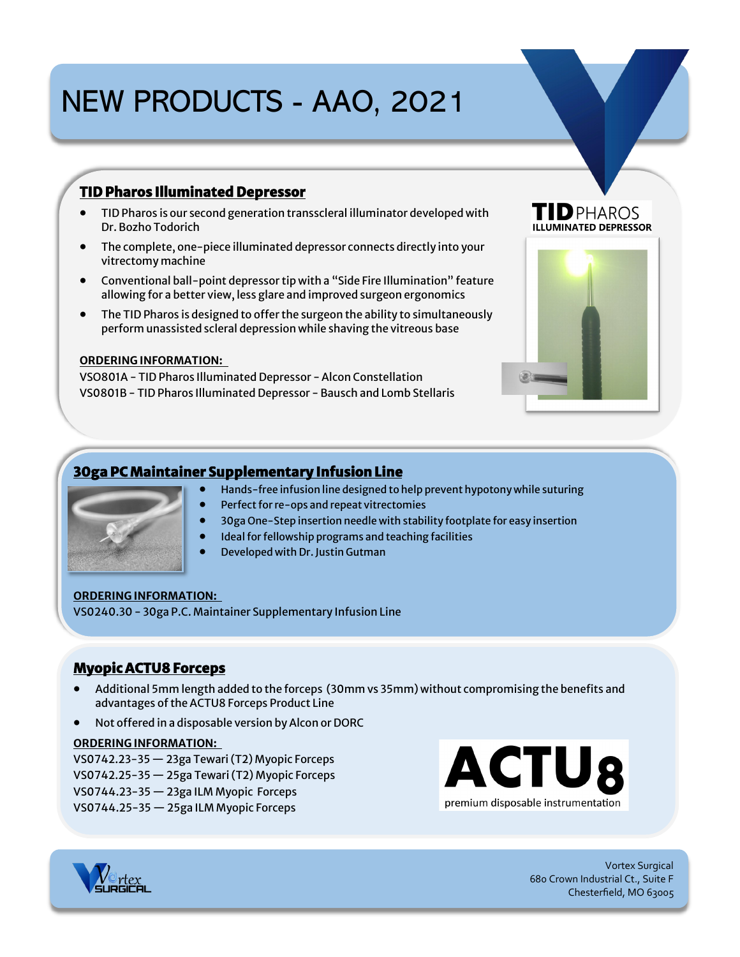# NEW PRODUCTS - AAO, 2021

## **TID Pharos Illuminated Depressor**

- TID Pharos is our second generation transscleral illuminator developed with Dr. Bozho Todorich
- The complete, one-piece illuminated depressor connects directly into your vitrectomy machine
- Conventional ball-point depressor tip with a "Side Fire Illumination" feature allowing for a better view, less glare and improved surgeon ergonomics
- The TID Pharos is designed to offer the surgeon the ability to simultaneously perform unassisted scleral depression while shaving the vitreous base

#### **ORDERING INFORMATION:**

VSO801A - TID Pharos Illuminated Depressor - Alcon Constellation VS0801B - TID Pharos Illuminated Depressor - Bausch and Lomb Stellaris

## TID PHAROS



## **30ga PC Maintainer Supplementary Infusion Line**



- Hands-free infusion line designed to help prevent hypotony while suturing
- Perfect for re-ops and repeat vitrectomies
- 30ga One-Step insertion needle with stability footplate for easy insertion
- Ideal for fellowship programs and teaching facilities
- Developed with Dr. Justin Gutman

#### **ORDERING INFORMATION:**

VS0240.30 - 30ga P.C. Maintainer Supplementary Infusion Line

### **Myopic ACTU8 Forceps**

- Additional 5mm length added to the forceps (30mm vs 35mm) without compromising the benefits and advantages of the ACTU8 Forceps Product Line
- Not offered in a disposable version by Alcon or DORC

#### **ORDERING INFORMATION:**

VS0742.23-35 — 23ga Tewari (T2) Myopic Forceps VS0742.25-35 — 25ga Tewari (T2) Myopic Forceps VS0744.23-35 — 23ga ILM Myopic Forceps VS0744.25-35 — 25ga ILM Myopic Forceps





Vortex Surgical 680 Crown Industrial Ct., Suite F Chesterfield, MO 63005